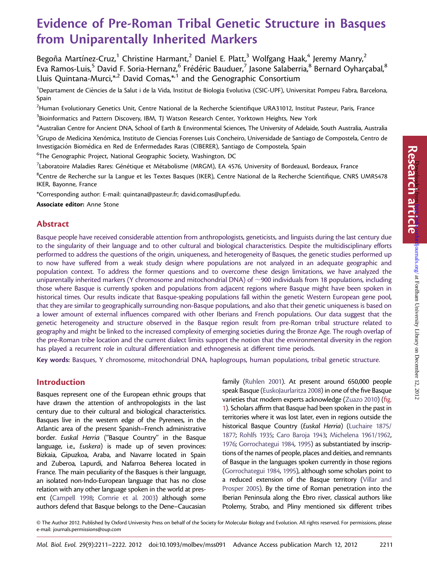# Evidence of Pre-Roman Tribal Genetic Structure in Basques from Uniparentally Inherited Markers

Begoña Martínez-Cruz,<sup>1</sup> Christine Harmant,<sup>2</sup> Daniel E. Platt,<sup>3</sup> Wolfgang Haak,<sup>4</sup> Jeremy Manry,<sup>2</sup> Eva Ramos-Luis,<sup>5</sup> David F. Soria-Hernanz,<sup>6</sup> Frédéric Bauduer,<sup>7</sup> Jasone Salaberria,<sup>8</sup> Bernard Oyharçabal,<sup>8</sup> Lluis Quintana-Murci, $*^{2}$  David Comas, $*^{1}$  and the Genographic Consortium

<sup>1</sup>Departament de Ciències de la Salut i de la Vida, Institut de Biologia Evolutiva (CSIC-UPF), Universitat Pompeu Fabra, Barcelona, Spain

<sup>2</sup>Human Evolutionary Genetics Unit, Centre National de la Recherche Scientifique URA31012, Institut Pasteur, Paris, France

 $^3$ Bioinformatics and Pattern Discovery, IBM, TJ Watson Research Center, Yorktown Heights, New York

<sup>4</sup>Australian Centre for Ancient DNA, School of Earth & Environmental Sciences, The University of Adelaide, South Australia, Australia <sup>5</sup>Grupo de Medicina Xenómica, Instituto de Ciencias Forenses Luis Concheiro, Universidade de Santiago de Compostela, Centro de Investigación Biomédica en Red de Enfermedades Raras (CIBERER), Santiago de Compostela, Spain

<sup>6</sup>The Genographic Project, National Geographic Society, Washington, DC

 $^7$ Laboratoire Maladies Rares: Génétique et Métabolisme (MRGM), EA 4576, University of BordeauxI, Bordeaux, France

<sup>8</sup>Centre de Recherche sur la Langue et les Textes Basques (IKER), Centre National de la Recherche Scientifique, CNRS UMR5478 IKER, Bayonne, France

\*Corresponding author: E-mail: quintana@pasteur.fr; david.comas@upf.edu.

Associate editor: Anne Stone

## Abstract

Basque people have received considerable attention from anthropologists, geneticists, and linguists during the last century due to the singularity of their language and to other cultural and biological characteristics. Despite the multidisciplinary efforts performed to address the questions of the origin, uniqueness, and heterogeneity of Basques, the genetic studies performed up to now have suffered from a weak study design where populations are not analyzed in an adequate geographic and population context. To address the former questions and to overcome these design limitations, we have analyzed the uniparentally inherited markers (Y chromosome and mitochondrial DNA) of  $\sim$ 900 individuals from 18 populations, including those where Basque is currently spoken and populations from adjacent regions where Basque might have been spoken in historical times. Our results indicate that Basque-speaking populations fall within the genetic Western European gene pool, that they are similar to geographically surrounding non-Basque populations, and also that their genetic uniqueness is based on a lower amount of external influences compared with other Iberians and French populations. Our data suggest that the genetic heterogeneity and structure observed in the Basque region result from pre-Roman tribal structure related to geography and might be linked to the increased complexity of emerging societies during the Bronze Age. The rough overlap of the pre-Roman tribe location and the current dialect limits support the notion that the environmental diversity in the region has played a recurrent role in cultural differentiation and ethnogenesis at different time periods.

Key words: Basques, Y chromosome, mitochondrial DNA, haplogroups, human populations, tribal genetic structure.

# Introduction

Basques represent one of the European ethnic groups that have drawn the attention of anthropologists in the last century due to their cultural and biological characteristics. Basques live in the western edge of the Pyrenees, in the Atlantic area of the present Spanish–French administrative border. Euskal Herria (''Basque Country'' in the Basque language, i.e., Euskera) is made up of seven provinces: Bizkaia, Gipuzkoa, Araba, and Navarre located in Spain and Zuberoa, Lapurdi, and Nafarroa Beherea located in France. The main peculiarity of the Basques is their language, an isolated non-Indo-European language that has no close relation with any other language spoken in the world at present [\(Campell 1998](#page-9-0); [Comrie et al. 2003\)](#page-10-0) although some authors defend that Basque belongs to the Dene–Caucasian

family ([Ruhlen 2001\)](#page-11-0). At present around 650,000 people speak Basque [\(EuskoJaurlaritza 2008\)](#page-10-0) in one of the five Basque varieties that modern experts acknowledge [\(Zuazo 2010](#page-11-0)) (fig. 1). Scholars affirm that Basque had been spoken in the past in territories where it was lost later, even in regions outside the historical Basque Country (Euskal Herria) [\(Luchaire 1875/](#page-10-0) [1877](#page-10-0); [Rohlfs 1935](#page-11-0); [Caro Baroja 1943](#page-9-0); [Michelena 1961/1962](#page-10-0), [1976](#page-10-0); [Gorrochategui 1984](#page-10-0), [1995](#page-10-0)) as substantiated by inscriptions of the names of people, places and deities, and remnants of Basque in the languages spoken currently in those regions [\(Gorrochategui 1984](#page-10-0), [1995\)](#page-10-0), although some scholars point to a reduced extension of the Basque territory ([Villar and](#page-11-0) [Prosper 2005\)](#page-11-0). By the time of Roman penetration into the Iberian Peninsula along the Ebro river, classical authors like Ptolemy, Strabo, and Pliny mentioned six different tribes

© The Author 2012. Published by Oxford University Press on behalf of the Society for Molecular Biology and Evolution. All rights reserved. For permissions, please e-mail: journals.permissions@oup.com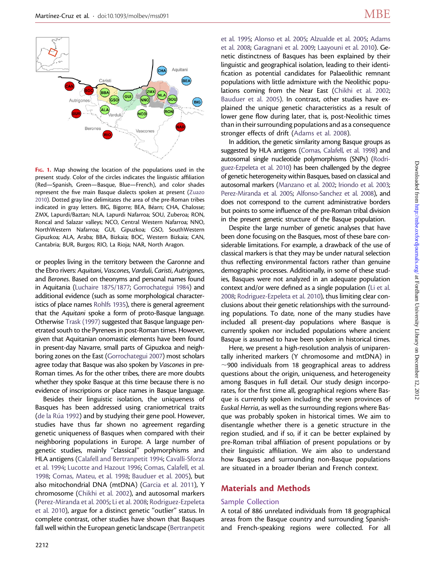

FIG. 1. Map showing the location of the populations used in the present study. Color of the circles indicates the linguistic affiliation (Red—Spanish, Green—Basque, Blue—French), and color shades represent the five main Basque dialects spoken at present ([Zuazo](#page-11-0) [2010\)](#page-11-0). Dotted gray line delimitates the area of the pre-Roman tribes indicated in gray letters. BIG, Bigorre; BEA, Béarn; CHA, Chalosse; ZMX, Lapurdi/Baztan; NLA, Lapurdi Nafarroa; SOU, Zuberoa; RON, Roncal and Salazar valleys; NCO, Central Western Nafarroa; NNO, NorthWestern Nafarroa; GUI, Gipuzkoa; GSO, SouthWestern Gipuzkoa; ALA, Araba; BBA, Bizkaia; BOC, Western Bizkaia; CAN, Cantabria; BUR, Burgos; RIO, La Rioja; NAR, North Aragon.

or peoples living in the territory between the Garonne and the Ebro rivers: Aquitani, Vascones, Varduli, Caristi, Autrigones, and Berones. Based on theonyms and personal names found in Aquitania [\(Luchaire 1875/1877;](#page-10-0) [Gorrochategui 1984\)](#page-10-0) and additional evidence (such as some morphological characteristics of place names [Rohlfs 1935](#page-11-0)), there is general agreement that the Aquitani spoke a form of proto-Basque language. Otherwise [Trask \(1997\)](#page-11-0) suggested that Basque language penetrated south to the Pyrenees in post-Roman times. However, given that Aquitanian onomastic elements have been found in present-day Navarre, small parts of Gipuzkoa and neighboring zones on the East ([Gorrochategui 2007](#page-10-0)) most scholars agree today that Basque was also spoken by Vascones in pre-Roman times. As for the other tribes, there are more doubts whether they spoke Basque at this time because there is no evidence of inscriptions or place names in Basque language.

Besides their linguistic isolation, the uniqueness of Basques has been addressed using craniometrical traits (de la Rúa 1992) and by studying their gene pool. However, studies have thus far shown no agreement regarding genetic uniqueness of Basques when compared with their neighboring populations in Europe. A large number of genetic studies, mainly ''classical'' polymorphisms and HLA antigens [\(Calafell and Bertranpetit 1994](#page-9-0); [Cavalli-Sforza](#page-9-0) [et al. 1994;](#page-9-0) [Lucotte and Hazout 1996](#page-10-0); [Comas, Calafell, et al.](#page-9-0) [1998](#page-9-0); [Comas, Mateu, et al. 1998](#page-9-0); [Bauduer et al. 2005\)](#page-9-0), but also mitochondrial DNA (mtDNA) ([Garcia et al. 2011\)](#page-10-0), Y chromosome [\(Chikhi et al. 2002\)](#page-10-0), and autosomal markers [\(Perez-Miranda et al. 2005;](#page-11-0) [Li et al. 2008;](#page-10-0) [Rodriguez-Ezpeleta](#page-11-0) [et al. 2010\)](#page-11-0), argue for a distinct genetic ''outlier'' status. In complete contrast, other studies have shown that Basques fall well within the European genetic landscape [\(Bertranpetit](#page-9-0)

[et al. 1995;](#page-9-0) [Alonso et al. 2005](#page-9-0); [Alzualde et al. 2005](#page-9-0); [Adams](#page-9-0) [et al. 2008](#page-9-0); [Garagnani et al. 2009](#page-10-0); [Laayouni et al. 2010](#page-10-0)). Genetic distinctness of Basques has been explained by their linguistic and geographical isolation, leading to their identification as potential candidates for Palaeolithic remnant populations with little admixture with the Neolithic populations coming from the Near East [\(Chikhi et al. 2002](#page-10-0); [Bauduer et al. 2005\)](#page-9-0). In contrast, other studies have explained the unique genetic characteristics as a result of lower gene flow during later, that is, post-Neolithic times than in their surrounding populations and as a consequence stronger effects of drift ([Adams et al. 2008\)](#page-9-0).

In addition, the genetic similarity among Basque groups as suggested by HLA antigens ([Comas, Calafell, et al. 1998](#page-9-0)) and autosomal single nucleotide polymorphisms (SNPs) [\(Rodri](#page-11-0)[guez-Ezpeleta et al. 2010\)](#page-11-0) has been challenged by the degree of genetic heterogeneity within Basques, based on classical and autosomal markers [\(Manzano et al. 2002](#page-10-0); [Iriondo et al. 2003](#page-10-0); [Perez-Miranda et al. 2005](#page-11-0); [Alfonso-Sanchez et al. 2008](#page-9-0)), and does not correspond to the current administrative borders but points to some influence of the pre-Roman tribal division in the present genetic structure of the Basque population.

Despite the large number of genetic analyses that have been done focusing on the Basques, most of these bare considerable limitations. For example, a drawback of the use of classical markers is that they may be under natural selection thus reflecting environmental factors rather than genuine demographic processes. Additionally, in some of these studies, Basques were not analyzed in an adequate population context and/or were defined as a single population [\(Li et al.](#page-10-0) [2008;](#page-10-0) [Rodriguez-Ezpeleta et al. 2010\)](#page-11-0), thus limiting clear conclusions about their genetic relationships with the surrounding populations. To date, none of the many studies have included all present-day populations where Basque is currently spoken nor included populations where ancient Basque is assumed to have been spoken in historical times.

Here, we present a high-resolution analysis of uniparentally inherited markers (Y chromosome and mtDNA) in  $\sim$ 900 individuals from 18 geographical areas to address questions about the origin, uniqueness, and heterogeneity among Basques in full detail. Our study design incorporates, for the first time all, geographical regions where Basque is currently spoken including the seven provinces of Euskal Herria, as well as the surrounding regions where Basque was probably spoken in historical times. We aim to disentangle whether there is a genetic structure in the region studied, and if so, if it can be better explained by pre-Roman tribal affiliation of present populations or by their linguistic affiliation. We aim also to understand how Basques and surrounding non-Basque populations are situated in a broader Iberian and French context.

# Materials and Methods

### Sample Collection

A total of 886 unrelated individuals from 18 geographical areas from the Basque country and surrounding Spanishand French-speaking regions were collected. For all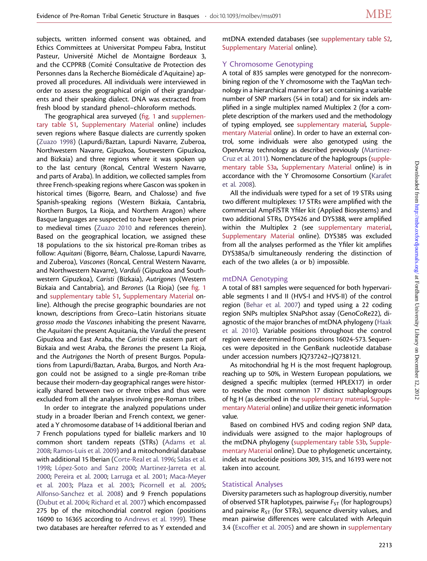subjects, written informed consent was obtained, and Ethics Committees at Universitat Pompeu Fabra, Institut Pasteur, Université Michel de Montaigne Bordeaux 3, and the CCPPRB (Comité Consultative de Protection des Personnes dans la Recherche Biomédicale d'Aquitaine) approved all procedures. All individuals were interviewed in order to assess the geographical origin of their grandparents and their speaking dialect. DNA was extracted from fresh blood by standard phenol–chloroform methods.

The geographical area surveyed (fig. 1 and [supplemen](http://www.mbe.oxfordjournals.org/lookup/suppl/doi:10.1093/molbev/mss091/-/DC1)[tary table S1,](http://www.mbe.oxfordjournals.org/lookup/suppl/doi:10.1093/molbev/mss091/-/DC1) [Supplementary Material](http://www.mbe.oxfordjournals.org/lookup/suppl/doi:10.1093/molbev/mss091/-/DC1) online) includes seven regions where Basque dialects are currently spoken [\(Zuazo 1998](#page-11-0)) (Lapurdi/Baztan, Lapurdi Navarre, Zuberoa, Northwestern Navarre, Gipuzkoa, Soutwestern Gipuzkoa, and Bizkaia) and three regions where it was spoken up to the last century (Roncal, Central Western Navarre, and parts of Araba). In addition, we collected samples from three French-speaking regions where Gascon was spoken in historical times (Bigorre, Bearn, and Chalosse) and five Spanish-speaking regions (Western Bizkaia, Cantabria, Northern Burgos, La Rioja, and Northern Aragon) where Basque languages are suspected to have been spoken prior to medieval times ([Zuazo 2010](#page-11-0) and references therein). Based on the geographical location, we assigned these 18 populations to the six historical pre-Roman tribes as follow: Aquitani (Bigorre, Béarn, Chalosse, Lapurdi Navarre, and Zuberoa), Vascones (Roncal, Central Western Navarre, and Northwestern Navarre), Varduli (Gipuzkoa and Southwestern Gipuzkoa), Caristi (Bizkaia), Autrigones (Western Bizkaia and Cantabria), and Berones (La Rioja) (see fig. 1 and [supplementary table S1](http://www.mbe.oxfordjournals.org/lookup/suppl/doi:10.1093/molbev/mss091/-/DC1), [Supplementary Material](http://www.mbe.oxfordjournals.org/lookup/suppl/doi:10.1093/molbev/mss091/-/DC1) online). Although the precise geographic boundaries are not known, descriptions from Greco–Latin historians situate grosso modo the Vascones inhabiting the present Navarre, the Aquitani the present Aquitania, the Varduli the present Gipuzkoa and East Araba, the Carisiti the eastern part of Bizkaia and west Araba, the Berones the present La Rioja, and the Autrigones the North of present Burgos. Populations from Lapurdi/Baztan, Araba, Burgos, and North Aragon could not be assigned to a single pre-Roman tribe because their modern-day geographical ranges were historically shared between two or three tribes and thus were excluded from all the analyses involving pre-Roman tribes.

In order to integrate the analyzed populations under study in a broader Iberian and French context, we generated a Y chromosome database of 14 additional Iberian and 7 French populations typed for biallelic markers and 10 common short tandem repeats (STRs) ([Adams et al.](#page-9-0) [2008](#page-9-0); [Ramos-Luis et al. 2009](#page-11-0)) and a mitochondrial database with additional 15 Iberian ([Corte-Real et al. 1996](#page-10-0); [Salas et al.](#page-11-0) [1998](#page-11-0); López-Soto and Sanz 2000; [Martinez-Jarreta et al.](#page-10-0) [2000](#page-10-0); [Pereira et al. 2000](#page-11-0); [Larruga et al. 2001](#page-10-0); [Maca-Meyer](#page-10-0) [et al. 2003](#page-10-0); [Plaza et al. 2003;](#page-11-0) [Picornell et al. 2005](#page-11-0); [Alfonso-Sanchez et al. 2008](#page-9-0)) and 9 French populations [\(Dubut et al. 2004](#page-10-0); [Richard et al. 2007](#page-11-0)) which encompassed 275 bp of the mitochondrial control region (positions 16090 to 16365 according to [Andrews et al. 1999\)](#page-9-0). These two databases are hereafter referred to as Y extended and mtDNA extended databases (see [supplementary table S2](http://www.mbe.oxfordjournals.org/lookup/suppl/doi:10.1093/molbev/mss091/-/DC1), [Supplementary Material](http://www.mbe.oxfordjournals.org/lookup/suppl/doi:10.1093/molbev/mss091/-/DC1) online).

# Y Chromosome Genotyping

A total of 835 samples were genotyped for the nonrecombining region of the Y chromosome with the TaqMan technology in a hierarchical manner for a set containing a variable number of SNP markers (54 in total) and for six indels amplified in a single multiplex named Multiplex 2 (for a complete description of the markers used and the methodology of typing employed, see [supplementary material,](http://www.mbe.oxfordjournals.org/lookup/suppl/doi:10.1093/molbev/mss091/-/DC1) [Supple](http://www.mbe.oxfordjournals.org/lookup/suppl/doi:10.1093/molbev/mss091/-/DC1)[mentary Material](http://www.mbe.oxfordjournals.org/lookup/suppl/doi:10.1093/molbev/mss091/-/DC1) online). In order to have an external control, some individuals were also genotyped using the OpenArray technology as described previously ([Martinez-](#page-10-0)[Cruz et al. 2011](#page-10-0)). Nomenclature of the haplogroups [\(supple](http://www.mbe.oxfordjournals.org/lookup/suppl/doi:10.1093/molbev/mss091/-/DC1)[mentary table S3a,](http://www.mbe.oxfordjournals.org/lookup/suppl/doi:10.1093/molbev/mss091/-/DC1) [Supplementary Material](http://www.mbe.oxfordjournals.org/lookup/suppl/doi:10.1093/molbev/mss091/-/DC1) online) is in accordance with the Y Chromosome Consortium [\(Karafet](#page-10-0) [et al. 2008\)](#page-10-0).

All the individuals were typed for a set of 19 STRs using two different multiplexes: 17 STRs were amplified with the commercial AmpFlSTR Yfiler kit (Applied Biosystems) and two additional STRs, DYS426 and DYS388, were amplified within the Multiplex 2 (see [supplementary material](http://www.mbe.oxfordjournals.org/lookup/suppl/doi:10.1093/molbev/mss091/-/DC1), [Supplementary Material](http://www.mbe.oxfordjournals.org/lookup/suppl/doi:10.1093/molbev/mss091/-/DC1) online). DYS385 was excluded from all the analyses performed as the Yfiler kit amplifies DYS385a/b simultaneously rendering the distinction of each of the two alleles (a or b) impossible.

### mtDNA Genotyping

A total of 881 samples were sequenced for both hypervariable segments I and II (HVS-I and HVS-II) of the control region [\(Behar et al. 2007](#page-9-0)) and typed using a 22 coding region SNPs multiplex SNaPshot assay (GenoCoRe22), diagnostic of the major branches of mtDNA phylogeny ([Haak](#page-10-0) [et al. 2010](#page-10-0)). Variable positions throughout the control region were determined from positions 16024-573. Sequences were deposited in the GenBank nucleotide database under accession numbers JQ737242–JQ738121.

As mitochondrial hg H is the most frequent haplogroup, reaching up to 50%, in Western European populations, we designed a specific multiplex (termed HPLEX17) in order to resolve the most common 17 distinct subhaplogroups of hg H (as described in the [supplementary material](http://www.mbe.oxfordjournals.org/lookup/suppl/doi:10.1093/molbev/mss091/-/DC1), [Supple](http://www.mbe.oxfordjournals.org/lookup/suppl/doi:10.1093/molbev/mss091/-/DC1)[mentary Material](http://www.mbe.oxfordjournals.org/lookup/suppl/doi:10.1093/molbev/mss091/-/DC1) online) and utilize their genetic information value.

Based on combined HVS and coding region SNP data, individuals were assigned to the major haplogroups of the mtDNA phylogeny ([supplementary table S3b,](http://www.mbe.oxfordjournals.org/lookup/suppl/doi:10.1093/molbev/mss091/-/DC1) [Supple](http://www.mbe.oxfordjournals.org/lookup/suppl/doi:10.1093/molbev/mss091/-/DC1)[mentary Material](http://www.mbe.oxfordjournals.org/lookup/suppl/doi:10.1093/molbev/mss091/-/DC1) online). Due to phylogenetic uncertainty, indels at nucleotide positions 309, 315, and 16193 were not taken into account.

### Statistical Analyses

Diversity parameters such as haplogroup diversitiy, number of observed STR haplotypes, pairwise  $F_{ST}$  (for haplogroups) and pairwise  $R_{ST}$  (for STRs), sequence diversity values, and mean pairwise differences were calculated with Arlequin 3.4 ([Excoffier et al. 2005](#page-10-0)) and are shown in [supplementary](http://www.mbe.oxfordjournals.org/lookup/suppl/doi:10.1093/molbev/mss091/-/DC1)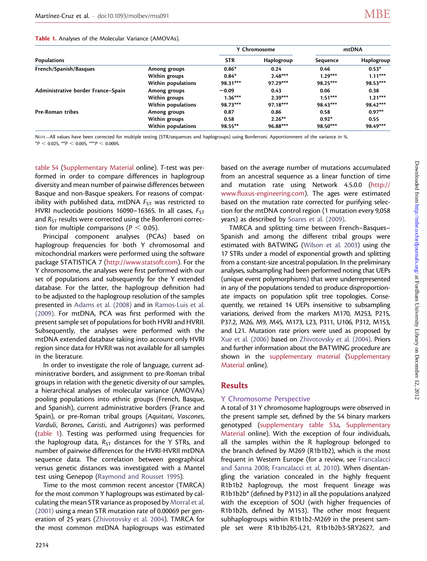#### Table 1. Analyses of the Molecular Variance (AMOVAs).

|                                    |                    | Y Chromosome |            | mtDNA     |            |
|------------------------------------|--------------------|--------------|------------|-----------|------------|
| <b>Populations</b>                 |                    | <b>STR</b>   | Haplogroup | Sequence  | Haplogroup |
| French/Spanish/Basques             | Among groups       | $0.86*$      | 0.24       | 0.46      | $0.53*$    |
|                                    | Within groups      | $0.84*$      | $2.48***$  | $1.29***$ | $1.11***$  |
|                                    | Within populations | 98.31***     | 97.29***   | 98.25***  | 98.53***   |
| Administrative border France-Spain | Among groups       | $-0.09$      | 0.43       | 0.06      | 0.38       |
|                                    | Within groups      | $1.36***$    | $2.39***$  | $1.51***$ | $1.21***$  |
|                                    | Within populations | 98.73***     | 97.18***   | 98.43***  | 98.42***   |
| <b>Pre-Roman tribes</b>            | Among groups       | 0.87         | 0.86       | 0.58      | $0.97**$   |
|                                    | Within groups      | 0.58         | $2.26***$  | $0.92*$   | 0.55       |
|                                    | Within populations | 98.55**      | 96.88***   | 98.50***  | 98.49***   |

NOTE.-All values have been corrected for multiple testing (STR/sequences and haplogroups) using Bonferroni. Apportionment of the variance in %.  $*P < 0.025$ ,  $*P < 0.005$ ,  $**P < 0.0005$ .

[table S4](http://www.mbe.oxfordjournals.org/lookup/suppl/doi:10.1093/molbev/mss091/-/DC1) [\(Supplementary Material](http://www.mbe.oxfordjournals.org/lookup/suppl/doi:10.1093/molbev/mss091/-/DC1) online). T-test was performed in order to compare differences in haplogroup diversity and mean number of pairwise differences between Basque and non-Basque speakers. For reasons of compatibility with published data, mtDNA  $F_{ST}$  was restricted to HVRI nucleotide positions 16090-16365. In all cases,  $F_{ST}$ and  $R_{ST}$  results were corrected using the Bonferroni correction for multiple comparisons ( $P < 0.05$ ).

Principal component analyses (PCAs) based on haplogroup frequencies for both Y chromosomal and mitochondrial markers were performed using the software package STATISTICA 7 [\(http://www.statsoft.com\)](http://www.statsoft.com). For the Y chromosome, the analyses were first performed with our set of populations and subsequently for the Y extended database. For the latter, the haplogroup definition had to be adjusted to the haplogroup resolution of the samples presented in [Adams et al. \(2008\)](#page-9-0) and in [Ramos-Luis et al.](#page-11-0) [\(2009\)](#page-11-0). For mtDNA, PCA was first performed with the present sample set of populations for both HVRI and HVRII. Subsequently, the analyses were performed with the mtDNA extended database taking into account only HVRI region since data for HVRII was not available for all samples in the literature.

In order to investigate the role of language, current administrative borders, and assignment to pre-Roman tribal groups in relation with the genetic diversity of our samples, a hierarchical analyses of molecular variance (AMOVAs) pooling populations into ethnic groups (French, Basque, and Spanish), current administrative borders (France and Spain), or pre-Roman tribal groups (Aquitani, Vascones, Varduli, Berones, Caristi, and Autrigones) was performed (table 1). Testing was performed using frequencies for the haplogroup data,  $R_{ST}$  distances for the Y STRs, and number of pairwise differences for the HVRI-HVRII mtDNA sequence data. The correlation between geographical versus genetic distances was investigated with a Mantel test using Genepop [\(Raymond and Rousset 1995](#page-11-0)).

Time to the most common recent ancestor (TMRCA) for the most common Y haplogroups was estimated by calculating the mean STR variance as proposed by [Morral et al.](#page-10-0) [\(2001\)](#page-10-0) using a mean STR mutation rate of 0.00069 per generation of 25 years [\(Zhivotovsky et al. 2004\)](#page-11-0). TMRCA for the most common mtDNA haplogroups was estimated based on the average number of mutations accumulated from an ancestral sequence as a linear function of time and mutation rate using Network 4.5.0.0 [\(http://](http://www.fluxus-engineering.com) [www.fluxus-engineering.com\)](http://www.fluxus-engineering.com). The ages were estimated based on the mutation rate corrected for purifying selection for the mtDNA control region (1 mutation every 9,058 years) as described by [Soares et al. \(2009\)](#page-11-0).

TMRCA and splitting time between French–Basques– Spanish and among the different tribal groups were estimated with BATWING [\(Wilson et al. 2003](#page-11-0)) using the 17 STRs under a model of exponential growth and splitting from a constant-size ancestral population. In the preliminary analyses, subsampling had been performed noting that UEPs (unique event polymorphisms) that were underrepresented in any of the populations tended to produce disproportionate impacts on population split tree topologies. Consequently, we retained 14 UEPs insensitive to subsampling variations, derived from the markers M170, M253, P215, P37.2, M26, M9, M45, M173, L23, P311, U106, P312, M153, and L21. Mutation rate priors were used as proposed by [Xue et al. \(2006\)](#page-11-0) based on [Zhivotovsky et al. \(2004\).](#page-11-0) Priors and further information about the BATWING procedure are shown in the [supplementary material](http://www.mbe.oxfordjournals.org/lookup/suppl/doi:10.1093/molbev/mss091/-/DC1) [\(Supplementary](http://www.mbe.oxfordjournals.org/lookup/suppl/doi:10.1093/molbev/mss091/-/DC1) [Material](http://www.mbe.oxfordjournals.org/lookup/suppl/doi:10.1093/molbev/mss091/-/DC1) online).

# Results

# Y Chromosome Perspective

A total of 31 Y chromosome haplogroups were observed in the present sample set, defined by the 54 binary markers genotyped [\(supplementary table S3a,](http://www.mbe.oxfordjournals.org/lookup/suppl/doi:10.1093/molbev/mss091/-/DC1) [Supplementary](http://www.mbe.oxfordjournals.org/lookup/suppl/doi:10.1093/molbev/mss091/-/DC1) [Material](http://www.mbe.oxfordjournals.org/lookup/suppl/doi:10.1093/molbev/mss091/-/DC1) online). With the exception of four individuals, all the samples within the R haplogroup belonged to the branch defined by M269 (R1b1b2), which is the most frequent in Western Europe (for a review, see [Francalacci](#page-10-0) [and Sanna 2008;](#page-10-0) [Francalacci et al. 2010\)](#page-10-0). When disentangling the variation concealed in the highly frequent R1b1b2 haplogroup, the most frequent lineage was R1b1b2b\* (defined by P312) in all the populations analyzed with the exception of SOU (with higher frequencies of R1b1b2b, defined by M153). The other most frequent subhaplogroups within R1b1b2-M269 in the present sample set were R1b1b2b5-L21, R1b1b2b3-SRY2627, and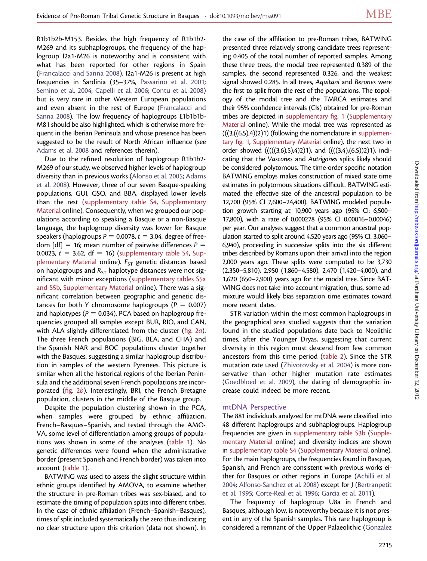R1b1b2b-M153. Besides the high frequency of R1b1b2- M269 and its subhaplogroups, the frequency of the haplogroup I2a1-M26 is noteworthy and is consistent with what has been reported for other regions in Spain [\(Francalacci and Sanna 2008\)](#page-10-0). I2a1-M26 is present at high frequencies in Sardinia (35–37%, [Passarino et al. 2001](#page-10-0); [Semino et al. 2004;](#page-11-0) [Capelli et al. 2006](#page-9-0); [Contu et al. 2008\)](#page-10-0) but is very rare in other Western European populations and even absent in the rest of Europe [\(Francalacci and](#page-10-0) [Sanna 2008](#page-10-0)). The low frequency of haplogroups E1b1b1b-M81 should be also highlighted, which is otherwise more frequent in the Iberian Peninsula and whose presence has been suggested to be the result of North African influence (see [Adams et al. 2008](#page-9-0) and references therein).

Due to the refined resolution of haplogroup R1b1b2- M269 of our study, we observed higher levels of haplogroup diversity than in previous works [\(Alonso et al. 2005;](#page-9-0) [Adams](#page-9-0) [et al. 2008](#page-9-0)). However, three of our seven Basque-speaking populations, GUI, GSO, and BBA, displayed lower levels than the rest ([supplementary table S4](http://www.mbe.oxfordjournals.org/lookup/suppl/doi:10.1093/molbev/mss091/-/DC1), [Supplementary](http://www.mbe.oxfordjournals.org/lookup/suppl/doi:10.1093/molbev/mss091/-/DC1) [Material](http://www.mbe.oxfordjournals.org/lookup/suppl/doi:10.1093/molbev/mss091/-/DC1) online). Consequently, when we grouped our populations according to speaking a Basque or a non-Basque language, the haplogroup diversity was lower for Basque speakers (haplogroups  $P = 0.0078$ ,  $t = 3.04$ , degree of freedom  $[df] = 16$ ; mean number of pairwise differences  $P =$ 0.0023,  $t = 3.62$ , df = 16) ([supplementary table S4](http://www.mbe.oxfordjournals.org/lookup/suppl/doi:10.1093/molbev/mss091/-/DC1), [Sup](http://www.mbe.oxfordjournals.org/lookup/suppl/doi:10.1093/molbev/mss091/-/DC1)[plementary Material](http://www.mbe.oxfordjournals.org/lookup/suppl/doi:10.1093/molbev/mss091/-/DC1) online).  $F_{ST}$  genetic distances based on haplogroups and  $R_{ST}$  haplotype distances were not significant with minor exceptions [\(supplementary tables S5a](http://www.mbe.oxfordjournals.org/lookup/suppl/doi:10.1093/molbev/mss091/-/DC1) [and S5b,](http://www.mbe.oxfordjournals.org/lookup/suppl/doi:10.1093/molbev/mss091/-/DC1) [Supplementary Material](http://www.mbe.oxfordjournals.org/lookup/suppl/doi:10.1093/molbev/mss091/-/DC1) online). There was a significant correlation between geographic and genetic distances for both Y chromosome haplogroups ( $P = 0.007$ ) and haplotypes ( $P = 0.034$ ). PCA based on haplogroup frequencies grouped all samples except BUR, RIO, and CAN, with ALA slightly differentiated from the cluster (fig. 2*a*). The three French populations (BIG, BEA, and CHA) and the Spanish NAR and BOC populations cluster together with the Basques, suggesting a similar haplogroup distribution in samples of the western Pyrenees. This picture is similar when all the historical regions of the Iberian Peninsula and the additional seven French populations are incorporated (fig. 2b). Interestingly, BRI, the French Bretagne population, clusters in the middle of the Basque group.

Despite the population clustering shown in the PCA, when samples were grouped by ethnic affiliation, French–Basques–Spanish, and tested through the AMO-VA, some level of differentiation among groups of populations was shown in some of the analyses (table 1). No genetic differences were found when the administrative border (present Spanish and French border) was taken into account (table 1).

BATWING was used to assess the slight structure within ethnic groups identified by AMOVA, to examine whether the structure in pre-Roman tribes was sex-biased, and to estimate the timing of population splits into different tribes. In the case of ethnic affiliation (French–Spanish–Basques), times of split included systematically the zero thus indicating no clear structure upon this criterion (data not shown). In

the case of the affiliation to pre-Roman tribes, BATWING presented three relatively strong candidate trees representing 0.405 of the total number of reported samples. Among these three trees, the modal tree represented 0.389 of the samples, the second represented 0.326, and the weakest signal showed 0.285. In all trees, Aquitani and Berones were the first to split from the rest of the populations. The topology of the modal tree and the TMRCA estimates and their 95% confidence intervals (CIs) obtained for pre-Roman tribes are depicted in [supplementary fig. 1](http://www.mbe.oxfordjournals.org/lookup/suppl/doi:10.1093/molbev/mss091/-/DC1) [\(Supplementary](http://www.mbe.oxfordjournals.org/lookup/suppl/doi:10.1093/molbev/mss091/-/DC1) [Material](http://www.mbe.oxfordjournals.org/lookup/suppl/doi:10.1093/molbev/mss091/-/DC1) online). While the modal tree was represented as  $(((3, ((6, 5), 4))2)1)$  (following the nomenclature in [supplemen](http://www.mbe.oxfordjournals.org/lookup/suppl/doi:10.1093/molbev/mss091/-/DC1)[tary fig. 1,](http://www.mbe.oxfordjournals.org/lookup/suppl/doi:10.1093/molbev/mss091/-/DC1) [Supplementary Material](http://www.mbe.oxfordjournals.org/lookup/suppl/doi:10.1093/molbev/mss091/-/DC1) online), the next two in order showed (((((3,6),5),4)2)1), and ((((3,4),(6,5))2)1), indicating that the Vascones and Autrigones splits likely should be considered polytomous. The time-order specific notation BATWING employs makes construction of mixed state time estimates in polytomous situations difficult. BATWING estimated the effective size of the ancestral population to be 12,700 (95% CI 7,600–24,400). BATWING modeled population growth starting at 10,900 years ago (95% CI: 6,500– 17,800), with a rate of 0.000278 (95% CI 0.00016–0.00046) per year. Our analyses suggest that a common ancestral population started to split around 4,520 years ago (95% CI: 3,060– 6,940), proceeding in successive splits into the six different tribes described by Romans upon their arrival into the region 2,000 years ago. These splits were computed to be 3,730 (2,350–5,810), 2,950 (1,860–4,580), 2,470 (1,420–4,000), and 1,620 (650–2,900) years ago for the modal tree. Since BAT-WING does not take into account migration, thus, some admixture would likely bias separation time estimates toward more recent dates.

STR variation within the most common haplogroups in the geographical area studied suggests that the variation found in the studied populations date back to Neolithic times, after the Younger Dryas, suggesting that current diversity in this region must descend from few common ancestors from this time period (table 2). Since the STR mutation rate used ([Zhivotovsky et al. 2004\)](#page-11-0) is more conservative than other higher mutation rate estimates [\(Goedbloed et al. 2009](#page-10-0)), the dating of demographic increase could indeed be more recent.

### mtDNA Perspective

The 881 individuals analyzed for mtDNA were classified into 48 different haplogroups and subhaplogroups. Haplogroup frequencies are given in [supplementary table S3b](http://www.mbe.oxfordjournals.org/lookup/suppl/doi:10.1093/molbev/mss091/-/DC1) [\(Supple](http://www.mbe.oxfordjournals.org/lookup/suppl/doi:10.1093/molbev/mss091/-/DC1)[mentary Material](http://www.mbe.oxfordjournals.org/lookup/suppl/doi:10.1093/molbev/mss091/-/DC1) online) and diversity indices are shown in [supplementary table S4](http://www.mbe.oxfordjournals.org/lookup/suppl/doi:10.1093/molbev/mss091/-/DC1) [\(Supplementary Material](http://www.mbe.oxfordjournals.org/lookup/suppl/doi:10.1093/molbev/mss091/-/DC1) online). For the main haplogroups, the frequencies found in Basques, Spanish, and French are consistent with previous works either for Basques or other regions in Europe [\(Achilli et al.](#page-9-0) [2004;](#page-9-0) [Alfonso-Sanchez et al. 2008](#page-9-0)) except for J [\(Bertranpetit](#page-9-0) [et al. 1995;](#page-9-0) [Corte-Real et al. 1996](#page-10-0); [Garcia et al. 2011](#page-10-0)).

The frequency of haplogroup U8a in French and Basques, although low, is noteworthy because it is not present in any of the Spanish samples. This rare haplogroup is considered a remnant of the Upper Palaeolithic [\(Gonzalez](#page-10-0)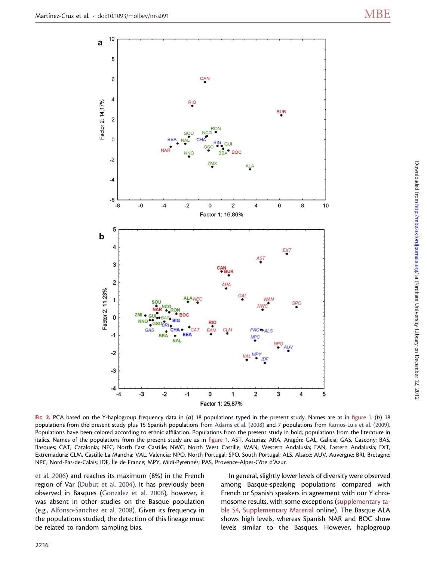

FIG. 2. PCA based on the Y-haplogroup frequency data in (a) 18 populations typed in the present study. Names are as in figure 1. (b) 18 populations from the present study plus 15 Spanish populations from [Adams et al. \(2008\)](#page-9-0) and 7 populations from [Ramos-Luis et al. \(2009\).](#page-11-0) Populations have been colored according to ethnic affiliation. Populations from the present study in bold; populations from the literature in italics. Names of the populations from the present study are as in figure 1. AST, Asturias; ARA, Aragón; GAL, Galicia; GAS, Gascony; BAS, Basques; CAT, Catalonia; NEC, North East Castille; NWC, North West Castille; WAN, Western Andalusia; EAN, Eastern Andalusia; EXT, Extremadura; CLM, Castille La Mancha; VAL, Valencia; NPO, North Portugal; SPO, South Portugal; ALS, Alsace; AUV, Auvergne; BRI, Bretagne; NPC, Nord-Pas-de-Calais; IDF, Ile de France; MPY, Midi-Pyrennés; PAS, Provence-Alpes-Côte d'Azur.

[et al. 2006\)](#page-10-0) and reaches its maximum (8%) in the French region of Var [\(Dubut et al. 2004\)](#page-10-0). It has previously been observed in Basques [\(Gonzalez et al. 2006\)](#page-10-0), however, it was absent in other studies on the Basque population (e.g., [Alfonso-Sanchez et al. 2008\)](#page-9-0). Given its frequency in the populations studied, the detection of this lineage must be related to random sampling bias.

In general, slightly lower levels of diversity were observed among Basque-speaking populations compared with French or Spanish speakers in agreement with our Y chromosome results, with some exceptions [\(supplementary ta](http://www.mbe.oxfordjournals.org/lookup/suppl/doi:10.1093/molbev/mss091/-/DC1)[ble S4](http://www.mbe.oxfordjournals.org/lookup/suppl/doi:10.1093/molbev/mss091/-/DC1), [Supplementary Material](http://www.mbe.oxfordjournals.org/lookup/suppl/doi:10.1093/molbev/mss091/-/DC1) online). The Basque ALA shows high levels, whereas Spanish NAR and BOC show levels similar to the Basques. However, haplogroup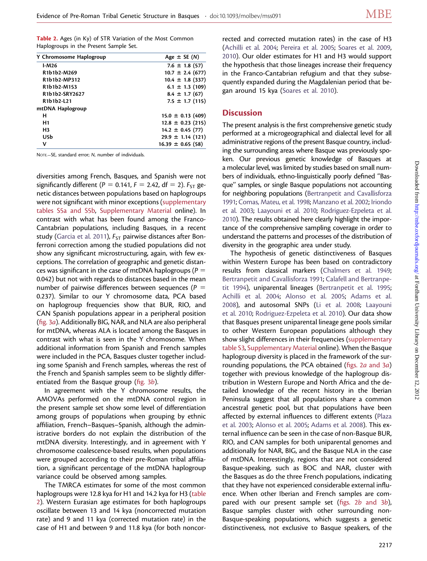| Table 2. Ages (in Ky) of STR Variation of the Most Common |
|-----------------------------------------------------------|
| Haplogroups in the Present Sample Set.                    |

| Y Chromosome Haplogroup                                        | Age $\pm$ SE (N)      |  |  |
|----------------------------------------------------------------|-----------------------|--|--|
| $I-M26$                                                        | $7.6 \pm 1.8$ (57)    |  |  |
| R <sub>1</sub> b <sub>1</sub> b <sub>2</sub> -M <sub>269</sub> | $10.7 \pm 2.4$ (677)  |  |  |
| R1b1b2-MP312                                                   | $10.4 \pm 1.8$ (337)  |  |  |
| R <sub>1</sub> b <sub>1</sub> b <sub>2</sub> -M <sub>153</sub> | $6.1 \pm 1.3$ (109)   |  |  |
| R1b1b2-SRY2627                                                 | $8.4 \pm 1.7(67)$     |  |  |
| R <sub>1</sub> b <sub>1</sub> b <sub>2</sub> -L <sub>21</sub>  | $7.5 \pm 1.7$ (115)   |  |  |
| mtDNA Haplogroup                                               |                       |  |  |
| н                                                              | $15.0 \pm 0.13$ (409) |  |  |
| H1                                                             | $12.8 \pm 0.23$ (215) |  |  |
| H <sub>3</sub>                                                 | $14.2 \pm 0.45$ (77)  |  |  |
| U5b                                                            | $29.9 \pm 1.14(121)$  |  |  |
| v                                                              | $16.39 \pm 0.65(58)$  |  |  |

NOTE.—SE, standard error; N, number of individuals.

diversities among French, Basques, and Spanish were not significantly different ( $P = 0.141$ ,  $F = 2.42$ , df = 2).  $F_{ST}$  genetic distances between populations based on haplogroups were not significant with minor exceptions ([supplementary](http://www.mbe.oxfordjournals.org/lookup/suppl/doi:10.1093/molbev/mss091/-/DC1) [tables S5a and S5b,](http://www.mbe.oxfordjournals.org/lookup/suppl/doi:10.1093/molbev/mss091/-/DC1) [Supplementary Material](http://www.mbe.oxfordjournals.org/lookup/suppl/doi:10.1093/molbev/mss091/-/DC1) online). In contrast with what has been found among the Franco-Cantabrian populations, including Basques, in a recent study [\(Garcia et al. 2011\)](#page-10-0),  $F_{ST}$  pairwise distances after Bonferroni correction among the studied populations did not show any significant microstructuring, again, with few exceptions. The correlation of geographic and genetic distances was significant in the case of mtDNA haplogroups ( $P =$ 0.042) but not with regards to distances based in the mean number of pairwise differences between sequences ( $P =$ 0.237). Similar to our Y chromosome data, PCA based on haplogroup frequencies show that BUR, RIO, and CAN Spanish populations appear in a peripheral position (fig. 3a). Additionally BIG, NAR, and NLA are also peripheral for mtDNA, whereas ALA is located among the Basques in contrast with what is seen in the Y chromosome. When additional information from Spanish and French samples were included in the PCA, Basques cluster together including some Spanish and French samples, whereas the rest of the French and Spanish samples seem to be slightly differentiated from the Basque group (fig. 3b).

In agreement with the Y chromosome results, the AMOVAs performed on the mtDNA control region in the present sample set show some level of differentiation among groups of populations when grouping by ethnic affiliation, French–Basques–Spanish, although the administrative borders do not explain the distribution of the mtDNA diversity. Interestingly, and in agreement with Y chromosome coalescence-based results, when populations were grouped according to their pre-Roman tribal affiliation, a significant percentage of the mtDNA haplogroup variance could be observed among samples.

The TMRCA estimates for some of the most common haplogroups were 12.8 kya for H1 and 14.2 kya for H3 (table 2). Western Eurasian age estimates for both haplogroups oscillate between 13 and 14 kya (noncorrected mutation rate) and 9 and 11 kya (corrected mutation rate) in the case of H1 and between 9 and 11.8 kya (for both noncorrected and corrected mutation rates) in the case of H3 [\(Achilli et al. 2004;](#page-9-0) [Pereira et al. 2005](#page-11-0); [Soares et al. 2009](#page-11-0), [2010](#page-11-0)). Our older estimates for H1 and H3 would support the hypothesis that those lineages increase their frequency in the Franco-Cantabrian refugium and that they subsequently expanded during the Magdalenian period that began around 15 kya [\(Soares et al. 2010\)](#page-11-0).

### **Discussion**

The present analysis is the first comprehensive genetic study performed at a microgeographical and dialectal level for all administrative regions of the present Basque country, including the surrounding areas where Basque was previously spoken. Our previous genetic knowledge of Basques at a molecular level, was limited by studies based on small numbers of individuals, ethno-linguistically poorly defined ''Basque'' samples, or single Basque populations not accounting for neighboring populations [\(Bertranpetit and Cavallisforza](#page-9-0) [1991;](#page-9-0) [Comas, Mateu, et al. 1998;](#page-9-0) [Manzano et al. 2002;](#page-10-0) [Iriondo](#page-10-0) [et al. 2003](#page-10-0); [Laayouni et al. 2010](#page-10-0); [Rodriguez-Ezpeleta et al.](#page-11-0) [2010\)](#page-11-0). The results obtained here clearly highlight the importance of the comprehensive sampling coverage in order to understand the patterns and processes of the distribution of diversity in the geographic area under study.

The hypothesis of genetic distinctiveness of Basques within Western Europe has been based on contradictory results from classical markers [\(Chalmers et al. 1949](#page-10-0); [Bertranpetit and Cavallisforza 1991](#page-9-0); [Calafell and Bertranpe](#page-9-0)[tit 1994](#page-9-0)), uniparental lineages ([Bertranpetit et al. 1995](#page-9-0); [Achilli et al. 2004;](#page-9-0) [Alonso et al. 2005;](#page-9-0) [Adams et al.](#page-9-0) [2008](#page-9-0)), and autosomal SNPs ([Li et al. 2008](#page-10-0); [Laayouni](#page-10-0) [et al. 2010;](#page-10-0) [Rodriguez-Ezpeleta et al. 2010](#page-11-0)). Our data show that Basques present uniparental lineage gene pools similar to other Western European populations although they show slight differences in their frequencies ([supplementary](http://www.mbe.oxfordjournals.org/lookup/suppl/doi:10.1093/molbev/mss091/-/DC1) [table S3](http://www.mbe.oxfordjournals.org/lookup/suppl/doi:10.1093/molbev/mss091/-/DC1), [Supplementary Material](http://www.mbe.oxfordjournals.org/lookup/suppl/doi:10.1093/molbev/mss091/-/DC1) online). When the Basque haplogroup diversity is placed in the framework of the surrounding populations, the PCA obtained (figs. 2a and 3a) together with previous knowledge of the haplogroup distribution in Western Europe and North Africa and the detailed knowledge of the recent history in the Iberian Peninsula suggest that all populations share a common ancestral genetic pool, but that populations have been affected by external influences to different extents ([Plaza](#page-11-0) [et al. 2003;](#page-11-0) [Alonso et al. 2005;](#page-9-0) [Adams et al. 2008](#page-9-0)). This external influence can be seen in the case of non-Basque BUR, RIO, and CAN samples for both uniparental genomes and additionally for NAR, BIG, and the Basque NLA in the case of mtDNA. Interestingly, regions that are not considered Basque-speaking, such as BOC and NAR, cluster with the Basques as do the three French populations, indicating that they have not experienced considerable external influence. When other Iberian and French samples are compared with our present sample set (figs. 2b and 3b), Basque samples cluster with other surrounding non-Basque-speaking populations, which suggests a genetic distinctiveness, not exclusive to Basque speakers, of the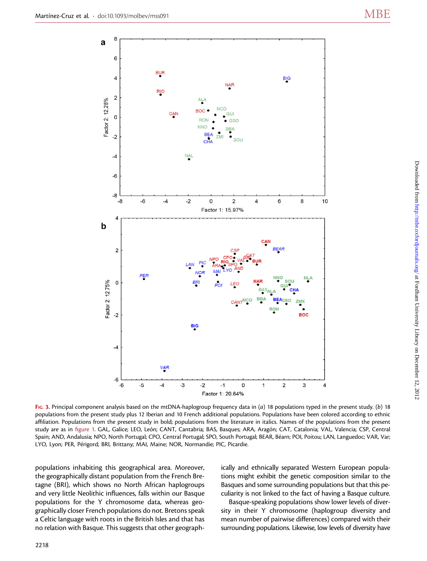

Downloaded from http://mbe.oxfordjournals.org/ at Fordham University Library on December 12, 2012 Downloaded from <http://mbe.oxfordjournals.org/> at Fordham University Library on December 12, 2012

FIG. 3. Principal component analysis based on the mtDNA-haplogroup frequency data in  $(a)$  18 populations typed in the present study. (b) 18 populations from the present study plus 12 Iberian and 10 French additional populations. Populations have been colored according to ethnic affiliation. Populations from the present study in bold; populations from the literature in italics. Names of the populations from the present study are as in figure 1. GAL, Galice; LEO, León; CANT, Cantabria; BAS, Basques; ARA, Aragón; CAT, Catalonia; VAL, Valencia; CSP, Central Spain; AND, Andalusia; NPO, North Portugal; CPO, Central Portugal; SPO, South Portugal; BEAR, Béarn; POI, Poitou; LAN, Languedoc; VAR, Var; LYO, Lyon; PER, Périgord; BRI, Brittany; MAI, Maine; NOR, Normandie; PIC, Picardie.

populations inhabiting this geographical area. Moreover, the geographically distant population from the French Bretagne (BRI), which shows no North African haplogroups and very little Neolithic influences, falls within our Basque populations for the Y chromosome data, whereas geographically closer French populations do not. Bretons speak a Celtic language with roots in the British Isles and that has no relation with Basque. This suggests that other geographically and ethnically separated Western European populations might exhibit the genetic composition similar to the Basques and some surrounding populations but that this peculiarity is not linked to the fact of having a Basque culture.

Basque-speaking populations show lower levels of diversity in their Y chromosome (haplogroup diversity and mean number of pairwise differences) compared with their surrounding populations. Likewise, low levels of diversity have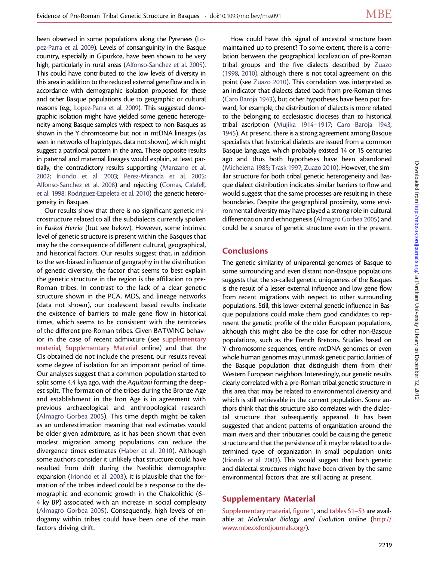been observed in some populations along the Pyrenees [\(Lo](#page-10-0)[pez-Parra et al. 2009\)](#page-10-0). Levels of consanguinity in the Basque country, especially in Gipuzkoa, have been shown to be very high, particularly in rural areas ([Alfonso-Sanchez et al. 2005](#page-9-0)). This could have contributed to the low levels of diversity in this area in addition to the reduced external gene flow and is in accordance with demographic isolation proposed for these and other Basque populations due to geographic or cultural reasons (e.g., [Lopez-Parra et al. 2009\)](#page-10-0). This suggested demographic isolation might have yielded some genetic heterogeneity among Basque samples with respect to non-Basques as shown in the Y chromosome but not in mtDNA lineages (as seen in networks of haplotypes, data not shown), which might suggest a patrilocal pattern in the area. These opposite results in paternal and maternal lineages would explain, at least partially, the contradictory results supporting [\(Manzano et al.](#page-10-0) [2002](#page-10-0); [Iriondo et al. 2003](#page-10-0); [Perez-Miranda et al. 2005](#page-11-0); [Alfonso-Sanchez et al. 2008](#page-9-0)) and rejecting [\(Comas, Calafell,](#page-9-0) [et al. 1998;](#page-9-0) [Rodriguez-Ezpeleta et al. 2010](#page-11-0)) the genetic heterogeneity in Basques.

Our results show that there is no significant genetic microstructure related to all the subdialects currently spoken in Euskal Herria (but see below). However, some intrinsic level of genetic structure is present within the Basques that may be the consequence of different cultural, geographical, and historical factors. Our results suggest that, in addition to the sex-biased influence of geography in the distribution of genetic diversity, the factor that seems to best explain the genetic structure in the region is the affiliation to pre-Roman tribes. In contrast to the lack of a clear genetic structure shown in the PCA, MDS, and lineage networks (data not shown), our coalescent based results indicate the existence of barriers to male gene flow in historical times, which seems to be consistent with the territories of the different pre-Roman tribes. Given BATWING behavior in the case of recent admixture (see [supplementary](http://www.mbe.oxfordjournals.org/lookup/suppl/doi:10.1093/molbev/mss091/-/DC1) [material](http://www.mbe.oxfordjournals.org/lookup/suppl/doi:10.1093/molbev/mss091/-/DC1), [Supplementary Material](http://www.mbe.oxfordjournals.org/lookup/suppl/doi:10.1093/molbev/mss091/-/DC1) online) and that the CIs obtained do not include the present, our results reveal some degree of isolation for an important period of time. Our analyses suggest that a common population started to split some 4.4 kya ago, with the Aquitani forming the deepest split. The formation of the tribes during the Bronze Age and establishment in the Iron Age is in agreement with previous archaeological and anthropological research [\(Almagro Gorbea 2005\)](#page-9-0). This time depth might be taken as an underestimation meaning that real estimates would be older given admixture, as it has been shown that even modest migration among populations can reduce the divergence times estimates [\(Haber et al. 2010](#page-10-0)). Although some authors consider it unlikely that structure could have resulted from drift during the Neolithic demographic expansion [\(Iriondo et al. 2003](#page-10-0)), it is plausible that the formation of the tribes indeed could be a response to the demographic and economic growth in the Chalcolithic (6– 4 ky BP) associated with an increase in social complexity [\(Almagro Gorbea 2005](#page-9-0)). Consequently, high levels of endogamy within tribes could have been one of the main factors driving drift.

How could have this signal of ancestral structure been maintained up to present? To some extent, there is a correlation between the geographical localization of pre-Roman tribal groups and the five dialects described by [Zuazo](#page-11-0) [\(1998,](#page-11-0) [2010\),](#page-11-0) although there is not total agreement on this point (see [Zuazo 2010](#page-11-0)). This correlation was interpreted as an indicator that dialects dated back from pre-Roman times [\(Caro Baroja 1943\)](#page-9-0), but other hypotheses have been put forward, for example, the distribution of dialects is more related to the belonging to ecclesiastic dioceses than to historical tribal ascription [\(Mujika 1914–1917;](#page-10-0) [Caro Baroja 1943](#page-9-0), [1945\)](#page-9-0). At present, there is a strong agreement among Basque specialists that historical dialects are issued from a common Basque language, which probably existed 14 or 15 centuries ago and thus both hypotheses have been abandoned [\(Michelena 1985;](#page-10-0) [Trask 1997](#page-11-0); [Zuazo 2010\)](#page-11-0). However, the similar structure for both tribal genetic heterogeneity and Basque dialect distribution indicates similar barriers to flow and would suggest that the same processes are resulting in these boundaries. Despite the geographical proximity, some environmental diversity may have played a strong role in cultural differentiation and ethnogenesis ([Almagro Gorbea 2005\)](#page-9-0) and could be a source of genetic structure even in the present.

# **Conclusions**

The genetic similarity of uniparental genomes of Basque to some surrounding and even distant non-Basque populations suggests that the so-called genetic uniqueness of the Basques is the result of a lesser external influence and low gene flow from recent migrations with respect to other surrounding populations. Still, this lower external genetic influence in Basque populations could make them good candidates to represent the genetic profile of the older European populations, although this might also be the case for other non-Basque populations, such as the French Bretons. Studies based on Y chromosome sequences, entire mtDNA genomes or even whole human genomes may unmask genetic particularities of the Basque population that distinguish them from their Western European neighbors. Interestingly, our genetic results clearly correlated with a pre-Roman tribal genetic structure in this area that may be related to environmental diversity and which is still retrievable in the current population. Some authors think that this structure also correlates with the dialectal structure that subsequently appeared. It has been suggested that ancient patterns of organization around the main rivers and their tributaries could be causing the genetic structure and that the persistence of it may be related to a determined type of organization in small population units [\(Iriondo et al. 2003\)](#page-10-0). This would suggest that both genetic and dialectal structures might have been driven by the same environmental factors that are still acting at present.

# Supplementary Material

[Supplementary material, figure 1](http://www.mbe.oxfordjournals.org/lookup/suppl/doi:10.1093/molbev/mss091/-/DC1), and [tables S1–S3](http://www.mbe.oxfordjournals.org/lookup/suppl/doi:10.1093/molbev/mss091/-/DC1) are available at Molecular Biology and Evolution online [\(http://](http://www.mbe.oxfordjournals.org/) [www.mbe.oxfordjournals.org/](http://www.mbe.oxfordjournals.org/)).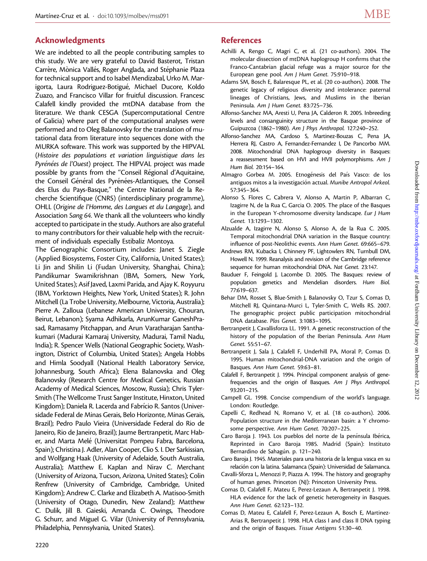# <span id="page-9-0"></span>Acknowledgments

We are indebted to all the people contributing samples to this study. We are very grateful to David Basterot, Tristan Carrère, Mònica Vallés, Roger Anglada, and Stéphanie Plaza for technical support and to Isabel Mendizabal, Urko M. Marigorta, Laura Rodriguez-Botigué, Michael Ducore, Koldo Zuazo, and Francisco Villar for fruitful discussion. Francesc Calafell kindly provided the mtDNA database from the literature. We thank CESGA (Supercomputational Centre of Galicia) where part of the computational analyses were performed and to Oleg Balanovsky for the translation of mutational data from literature into sequences done with the MURKA software. This work was supported by the HIPVAL (Histoire des populations et variation linguistique dans les Pyrénées de l'Ouest) project. The HIPVAL project was made possible by grants from the "Conseil Régional d'Aquitaine, the Conseil Général des Pyrénées-Atlantiques, the Conseil des Elus du Pays-Basque,'' the Centre National de la Recherche Scientifique (CNRS) (interdisciplinary programme), OHLL (Origine de l'Homme, des Langues et du Langage), and Association Sang 64. We thank all the volunteers who kindly accepted to participate in the study. Authors are also grateful to many contributors for their valuable help with the recruitment of individuals especially Estibaliz Montoya.

The Genographic Consortium includes: Janet S. Ziegle (Applied Biosystems, Foster City, California, United States); Li Jin and Shilin Li (Fudan University, Shanghai, China); Pandikumar Swamikrishnan (IBM, Somers, New York, United States); Asif Javed, Laxmi Parida, and Ajay K. Royyuru (IBM, Yorktown Heights, New York, United States); R. John Mitchell (La Trobe University, Melbourne, Victoria, Australia); Pierre A. Zalloua (Lebanese American University, Chouran, Beirut, Lebanon); Syama Adhikarla, ArunKumar GaneshPrasad, Ramasamy Pitchappan, and Arun Varatharajan Santhakumari (Madurai Kamaraj University, Madurai, Tamil Nadu, India); R. Spencer Wells (National Geographic Society, Washington, District of Columbia, United States); Angela Hobbs and Himla Soodyall (National Health Laboratory Service, Johannesburg, South Africa); Elena Balanovska and Oleg Balanovsky (Research Centre for Medical Genetics, Russian Academy of Medical Sciences, Moscow, Russia); Chris Tyler-Smith (The Wellcome Trust Sanger Institute, Hinxton, United Kingdom); Daniela R. Lacerda and Fabrício R. Santos (Universidade Federal de Minas Gerais, Belo Horizonte, Minas Gerais, Brazil); Pedro Paulo Vieira (Universidade Federal do Rio de Janeiro, Rio de Janeiro, Brazil); Jaume Bertranpetit, Marc Haber, and Marta Melé (Universitat Pompeu Fabra, Barcelona, Spain); Christina J. Adler, Alan Cooper, Clio S. I. Der Sarkissian, and Wolfgang Haak (University of Adelaide, South Australia, Australia); Matthew E. Kaplan and Nirav C. Merchant (University of Arizona, Tucson, Arizona, United States); Colin Renfrew (University of Cambridge, Cambridge, United Kingdom); Andrew C. Clarke and Elizabeth A. Matisoo-Smith (University of Otago, Dunedin, New Zealand); Matthew C. Dulik, Jill B. Gaieski, Amanda C. Owings, Theodore G. Schurr, and Miguel G. Vilar (University of Pennsylvania, Philadelphia, Pennsylvania, United States).

2220

# References

- Achilli A, Rengo C, Magri C, et al. (21 co-authors). 2004. The molecular dissection of mtDNA haplogroup H confirms that the Franco-Cantabrian glacial refuge was a major source for the European gene pool. Am J Hum Genet. 75:910–918.
- Adams SM, Bosch E, Balaresque PL, et al. (20 co-authors). 2008. The genetic legacy of religious diversity and intolerance: paternal lineages of Christians, Jews, and Muslims in the Iberian Peninsula. Am J Hum Genet. 83:725–736.
- Alfonso-Sanchez MA, Aresti U, Pena JA, Calderon R. 2005. Inbreeding levels and consanguinity structure in the Basque province of Guipuzcoa (1862–1980). Am J Phys Anthropol. 127:240–252.
- Alfonso-Sanchez MA, Cardoso S, Martinez-Bouzas C, Pena JA, Herrera RJ, Castro A, Fernandez-Fernandez I, De Pancorbo MM. 2008. Mitochondrial DNA haplogroup diversity in Basques: a reassessment based on HVI and HVII polymorphisms. Am J Hum Biol. 20:154–164.
- Almagro Gorbea M. 2005. Etnogénesis del País Vasco: de los antiguos mitos a la investigación actual. Munibe Antropol Arkeol. 57:345–364.
- Alonso S, Flores C, Cabrera V, Alonso A, Martin P, Albarran C, Izagirre N, de la Rua C, Garcia O. 2005. The place of the Basques in the European Y-chromosome diversity landscape. Eur J Hum Genet. 13:1293–1302.
- Alzualde A, Izagirre N, Alonso S, Alonso A, de la Rua C. 2005. Temporal mitochondrial DNA variation in the Basque country: influence of post-Neolithic events. Ann Hum Genet. 69:665–679.
- Andrews RM, Kubacka I, Chinnery PF, Lightowlers RN, Turnbull DM, Howell N. 1999. Reanalysis and revision of the Cambridge reference sequence for human mitochondrial DNA. Nat Genet. 23:147.
- Bauduer F, Feingold J, Lacombe D. 2005. The Basques: review of population genetics and Mendelian disorders. Hum Biol. 77:619–637.
- Behar DM, Rosset S, Blue-Smith J, Balanovsky O, Tzur S, Comas D, Mitchell RJ, Quintana-Murci L, Tyler-Smith C, Wells RS. 2007. The genographic project public participation mitochondrial DNA database. Plos Genet. 3:1083–1095.
- Bertranpetit J, Cavallisforza LL. 1991. A genetic reconstruction of the history of the population of the Iberian Peninsula. Ann Hum Genet. 55:51–67.
- Bertranpetit J, Sala J, Calafell F, Underhill PA, Moral P, Comas D. 1995. Human mitochondrial-DNA variation and the origin of Basques. Ann Hum Genet. 59:63–81.
- Calafell F, Bertranpetit J. 1994. Principal component analysis of genefrequencies and the origin of Basques. Am J Phys Anthropol. 93:201–215.
- Campell GL. 1998. Concise compendium of the world's language. London: Routledge.
- Capelli C, Redhead N, Romano V, et al. (18 co-authors). 2006. Population structure in the Mediterranean basin: a Y chromosome perspective. Ann Hum Genet. 70:207–225.
- Caro Baroja J. 1943. Los pueblos del norte de la península Ibérica, Reprinted in Caro Baroja 1985. Madrid (Spain): Instituto Bernardino de Sahagún. p. 121-240.
- Caro Baroja J. 1945. Materiales para una historia de la lengua vasca en su relación con la latina. Salamanca (Spain): Universidad de Salamanca.
- Cavalli-Sforza L, Menozzi P, Piazza A. 1994. The history and geography of human genes. Princeton (NJ): Princeton University Press.
- Comas D, Calafell F, Mateu E, Perez-Lezaun A, Bertranpetit J. 1998. HLA evidence for the lack of genetic heterogeneity in Basques. Ann Hum Genet. 62:123–132.
- Comas D, Mateu E, Calafell F, Perez-Lezaun A, Bosch E, Martinez-Arias R, Bertranpetit J. 1998. HLA class I and class II DNA typing and the origin of Basques. Tissue Antigens 51:30–40.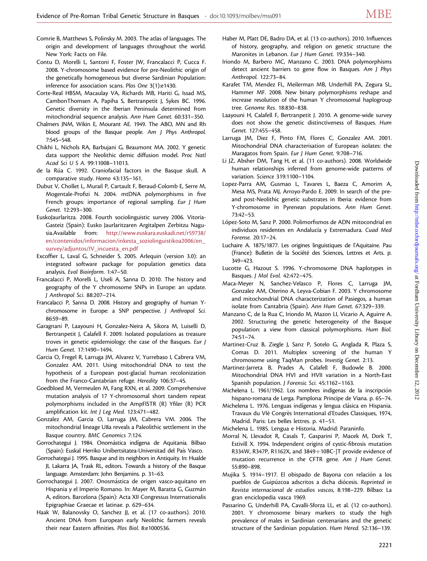- <span id="page-10-0"></span>Comrie B, Matthews S, Polinsky M. 2003. The atlas of languages. The origin and development of languages throughout the world. New York: Facts on File.
- Contu D, Morelli L, Santoni F, Foster JW, Francalacci P, Cucca F. 2008. Y-chromosome based evidence for pre-Neolithic origin of the genetically homogeneous but diverse Sardinian Population: inference for association scans. Plos One 3(1):e1430.
- Corte-Real HBSM, Macaulay VA, Richards MB, Hariti G, Issad MS, CambonThomsen A, Papiha S, Bertranpetit J, Sykes BC. 1996. Genetic diversity in the Iberian Peninsula determined from mitochondrial sequence analysis. Ann Hum Genet. 60:331–350.
- Chalmers JNM, Wikin E, Mourant AE. 1949. The ABO, MN and Rh blood groups of the Basque people. Am J Phys Anthropol. 7:545–548.
- Chikhi L, Nichols RA, Barbujani G, Beaumont MA. 2002. Y genetic data support the Neolithic demic diffusion model. Proc Natl Acad Sci U S A. 99:11008–11013.
- de la Rúa C. 1992. Craniofacial factors in the Basque skull. A comparative study. Homo 43:135–161.
- Dubut V, Chollet L, Murail P, Cartault F, Beraud-Colomb E, Serre M, Mogentale-Profizi N. 2004. mtDNA polymorphisms in five French groups: importance of regional sampling. Eur J Hum Genet. 12:293–300.
- EuskoJaurlaritza. 2008. Fourth sociolinguistic survey 2006. Vitoria-Gasteiz (Spain): Eusko Jaurlaritzaren Argitalpen Zerbitzu Nagusia.Available from: [http://www.euskara.euskadi.net/r59738/](http://www.euskara.euskadi.net/r59738/en/contenidos/informacion/inkesta_soziolinguistikoa2006/en_survey/adjuntos/IV_incuesta_en.pdf) [en/contenidos/informacion/inkesta\\_soziolinguistikoa2006/en\\_](http://www.euskara.euskadi.net/r59738/en/contenidos/informacion/inkesta_soziolinguistikoa2006/en_survey/adjuntos/IV_incuesta_en.pdf) [survey/adjuntos/IV\\_incuesta\\_en.pdf](http://www.euskara.euskadi.net/r59738/en/contenidos/informacion/inkesta_soziolinguistikoa2006/en_survey/adjuntos/IV_incuesta_en.pdf)
- Excoffier L, Laval G, Schneider S. 2005. Arlequin (version 3.0): an integrated software package for population genetics data analysis. Evol Bioinform. 1:47–50.
- Francalacci P, Morelli L, Useli A, Sanna D. 2010. The history and geography of the Y chromosome SNPs in Europe: an update. J Anthropol Sci. 88:207–214.
- Francalacci P, Sanna D. 2008. History and geography of human Ychromosome in Europe: a SNP perspective. J Anthropol Sci. 86:59–89.
- Garagnani P, Laayouni H, Gonzalez-Neira A, Sikora M, Luiselli D, Bertranpetit J, Calafell F. 2009. Isolated populations as treasure troves in genetic epidemiology: the case of the Basques. Eur J Hum Genet. 17:1490–1494.
- Garcia O, Fregel R, Larruga JM, Alvarez V, Yurrebaso I, Cabrera VM, Gonzalez AM. 2011. Using mitochondrial DNA to test the hypothesis of a European post-glacial human recolonization from the Franco-Cantabrian refuge. Heredity 106:37–45.
- Goedbloed M, Vermeulen M, Fang RXN, et al. 2009. Comprehensive mutation analysis of 17 Y-chromosomal short tandem repeat polymorphisms included in the AmpFlSTR (R) Yfiler (R) PCR amplification kit. Int J Leg Med. 123:471–482.
- Gonzalez AM, Garcia O, Larruga JM, Cabrera VM. 2006. The mitochondrial lineage U8a reveals a Paleolithic settlement in the Basque country. BMC Genomics 7:124.
- Gorrochategui J. 1984. Onomástica indígena de Aquitania. Bilbao (Spain): Euskal Herriko Unibertsitatea-Universitad del País Vasco.
- Gorrochategui J. 1995. Basque and its neighbors in Antiquity. In: Hualde JI, Lakarra JA, Trask RL, editors. Towards a history of the Basque language. Amsterdam: John Benjamins. p. 31–63.
- Gorrochategui J. 2007. Onosmástica de origen vasco-aquitano en Hispania y el Imperio Romano. In: Mayer M, Baratta G, Guzmán A, editors. Barcelona (Spain): Acta XII Congressus Internationalis Epigraphiae Graecae et latinae. p. 629–634.
- Haak W, Balanovsky O, Sanchez JJ, et al. (17 co-authors). 2010. Ancient DNA from European early Neolithic farmers reveals their near Eastern affinities. Plos Biol. 8:e1000536.
- Haber M, Platt DE, Badro DA, et al. (13 co-authors). 2010. Influences of history, geography, and religion on genetic structure: the Maronites in Lebanon. Eur J Hum Genet. 19:334–340.
- Iriondo M, Barbero MC, Manzano C. 2003. DNA polymorphisms detect ancient barriers to gene flow in Basques. Am J Phys Anthropol. 122:73–84.
- Karafet TM, Mendez FL, Meilerman MB, Underhill PA, Zegura SL, Hammer MF. 2008. New binary polymorphisms reshape and increase resolution of the human Y chromosomal haplogroup tree. Genome Res. 18:830–838.
- Laayouni H, Calafell F, Bertranpetit J. 2010. A genome-wide survey does not show the genetic distinctiveness of Basques. Hum Genet. 127:455–458.
- Larruga JM, Diez F, Pinto FM, Flores C, Gonzalez AM. 2001. Mitochondrial DNA characterisation of European isolates: the Maragatos from Spain. Eur J Hum Genet. 9:708–716.
- Li JZ, Absher DM, Tang H, et al. (11 co-authors). 2008. Worldwide human relationships inferred from genome-wide patterns of variation. Science 319:1100–1104.
- Lopez-Parra AM, Gusmao L, Tavares L, Baeza C, Amorim A, Mesa MS, Prata MJ, Arroyo-Pardo E. 2009. In search of the preand post-Neolithic genetic substrates in Iberia: evidence from Y-chromosome in Pyrenean populations. Ann Hum Genet. 73:42–53.
- López-Soto M, Sanz P. 2000. Polimorfismos de ADN mitocondrial en individuos residentes en Andalucía y Extremadura. Cuad Med Forense. 20:17–24.
- Luchaire A. 1875/1877. Les origines linguistiques de l'Aquitaine. Pau (France): Bulletin de la Société des Sciences, Lettres et Arts. p. 349–423.
- Lucotte G, Hazout S. 1996. Y-chromosome DNA haplotypes in Basques. J Mol Evol. 42:472–475.
- Maca-Meyer N, Sanchez-Velasco P, Flores C, Larruga JM, Gonzalez AM, Oterino A, Leyva-Cobian F. 2003. Y chromosome and mitochondrial DNA characterization of Pasiegos, a human isolate from Cantabria (Spain). Ann Hum Genet. 67:329–339.
- Manzano C, de la Rua C, Iriondo M, Mazon LI, Vicario A, Aguirre A. 2002. Structuring the genetic heterogeneity of the Basque population: a view from classical polymorphisms. Hum Biol. 74:51–74.
- Martinez-Cruz B, Ziegle J, Sanz P, Sotelo G, Anglada R, Plaza S, Comas D. 2011. Multiplex screening of the human Y chromosome using TaqMan probes. Investig Genet. 2:13.
- Martinez-Jarreta B, Prades A, Calafell F, Budowle B. 2000. Mitochondrial DNA HVI and HVII variation in a North-East Spanish population. J Forensic Sci. 45:1162–1163.
- Michelena L. 1961/1962. Los nombres indígenas de la inscripción hispano-romana de Lerga. Pamplona: Principe de Viana. p. 65–74.
- Michelena L. 1976. Lenguas indígenas y lengua clásica en Hispania. Travaux du VIè Congrès International d'Etudes Classiques, 1974, Madrid. Paris: Les belles lettres. p. 41–51.
- Michelena L. 1985. Lengua e Historia. Madrid: Paraninfo.
- Morral N, Llevadot R, Casals T, Gasparini P, Macek M, Dork T, Estivill X. 1994. Independent origins of cystic-fibrosis mutation R334W, R347P, R1162X, and 3849 $+$ 10BC-]T provide evidence of mutation recurrence in the CFTR gene. Am J Hum Genet. 55:890–898.
- Mujika S. 1914-1917. El obispado de Bayona con relación a los pueblos de Guipúzcoa adscritos a dicha diócesis. Reprinted in Revista internacional de estudios vascos, 8:198–229. Bilbao: La gran enciclopedia vasca 1969.
- Passarino G, Underhill PA, Cavalli-Sforza LL, et al. (12 co-authors). 2001. Y chromosome binary markers to study the high prevalence of males in Sardinian centenarians and the genetic structure of the Sardinian population. Hum Hered. 52:136–139.